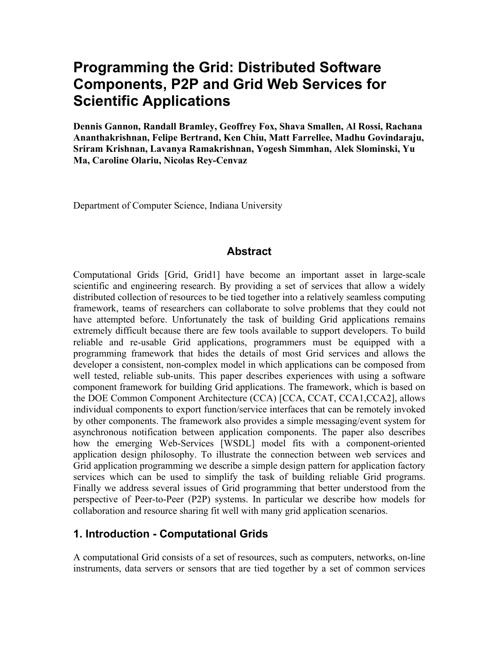# **Programming the Grid: Distributed Software Components, P2P and Grid Web Services for Scientific Applications**

**Dennis Gannon, Randall Bramley, Geoffrey Fox, Shava Smallen, Al Rossi, Rachana Ananthakrishnan, Felipe Bertrand, Ken Chiu, Matt Farrellee, Madhu Govindaraju, Sriram Krishnan, Lavanya Ramakrishnan, Yogesh Simmhan, Alek Slominski, Yu Ma, Caroline Olariu, Nicolas Rey-Cenvaz** 

Department of Computer Science, Indiana University

#### **Abstract**

Computational Grids [Grid, Grid1] have become an important asset in large-scale scientific and engineering research. By providing a set of services that allow a widely distributed collection of resources to be tied together into a relatively seamless computing framework, teams of researchers can collaborate to solve problems that they could not have attempted before. Unfortunately the task of building Grid applications remains extremely difficult because there are few tools available to support developers. To build reliable and re-usable Grid applications, programmers must be equipped with a programming framework that hides the details of most Grid services and allows the developer a consistent, non-complex model in which applications can be composed from well tested, reliable sub-units. This paper describes experiences with using a software component framework for building Grid applications. The framework, which is based on the DOE Common Component Architecture (CCA) [CCA, CCAT, CCA1,CCA2], allows individual components to export function/service interfaces that can be remotely invoked by other components. The framework also provides a simple messaging/event system for asynchronous notification between application components. The paper also describes how the emerging Web-Services [WSDL] model fits with a component-oriented application design philosophy. To illustrate the connection between web services and Grid application programming we describe a simple design pattern for application factory services which can be used to simplify the task of building reliable Grid programs. Finally we address several issues of Grid programming that better understood from the perspective of Peer-to-Peer (P2P) systems. In particular we describe how models for collaboration and resource sharing fit well with many grid application scenarios.

## **1. Introduction - Computational Grids**

A computational Grid consists of a set of resources, such as computers, networks, on-line instruments, data servers or sensors that are tied together by a set of common services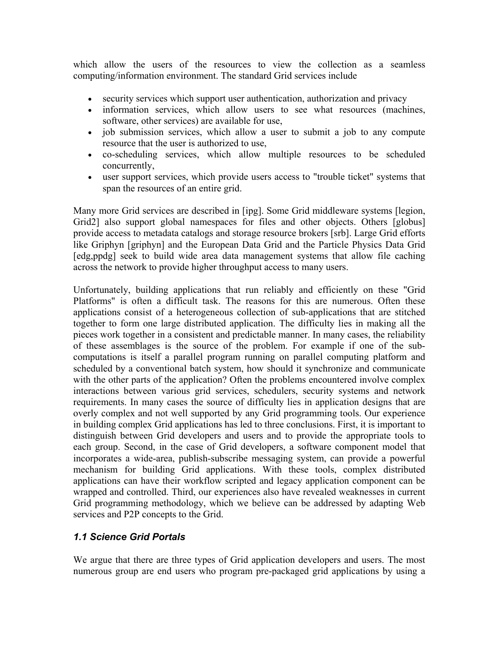which allow the users of the resources to view the collection as a seamless computing/information environment. The standard Grid services include

- security services which support user authentication, authorization and privacy
- information services, which allow users to see what resources (machines, software, other services) are available for use,
- job submission services, which allow a user to submit a job to any compute resource that the user is authorized to use,
- co-scheduling services, which allow multiple resources to be scheduled concurrently,
- user support services, which provide users access to "trouble ticket" systems that span the resources of an entire grid.

Many more Grid services are described in [ipg]. Some Grid middleware systems [legion, Grid2] also support global namespaces for files and other objects. Others [globus] provide access to metadata catalogs and storage resource brokers [srb]. Large Grid efforts like Griphyn [griphyn] and the European Data Grid and the Particle Physics Data Grid [edg,ppdg] seek to build wide area data management systems that allow file caching across the network to provide higher throughput access to many users.

Unfortunately, building applications that run reliably and efficiently on these "Grid Platforms" is often a difficult task. The reasons for this are numerous. Often these applications consist of a heterogeneous collection of sub-applications that are stitched together to form one large distributed application. The difficulty lies in making all the pieces work together in a consistent and predictable manner. In many cases, the reliability of these assemblages is the source of the problem. For example if one of the subcomputations is itself a parallel program running on parallel computing platform and scheduled by a conventional batch system, how should it synchronize and communicate with the other parts of the application? Often the problems encountered involve complex interactions between various grid services, schedulers, security systems and network requirements. In many cases the source of difficulty lies in application designs that are overly complex and not well supported by any Grid programming tools. Our experience in building complex Grid applications has led to three conclusions. First, it is important to distinguish between Grid developers and users and to provide the appropriate tools to each group. Second, in the case of Grid developers, a software component model that incorporates a wide-area, publish-subscribe messaging system, can provide a powerful mechanism for building Grid applications. With these tools, complex distributed applications can have their workflow scripted and legacy application component can be wrapped and controlled. Third, our experiences also have revealed weaknesses in current Grid programming methodology, which we believe can be addressed by adapting Web services and P2P concepts to the Grid.

## *1.1 Science Grid Portals*

We argue that there are three types of Grid application developers and users. The most numerous group are end users who program pre-packaged grid applications by using a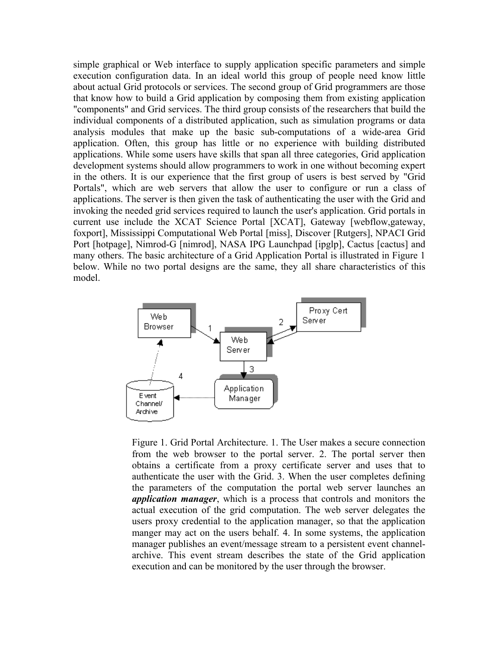simple graphical or Web interface to supply application specific parameters and simple execution configuration data. In an ideal world this group of people need know little about actual Grid protocols or services. The second group of Grid programmers are those that know how to build a Grid application by composing them from existing application "components" and Grid services. The third group consists of the researchers that build the individual components of a distributed application, such as simulation programs or data analysis modules that make up the basic sub-computations of a wide-area Grid application. Often, this group has little or no experience with building distributed applications. While some users have skills that span all three categories, Grid application development systems should allow programmers to work in one without becoming expert in the others. It is our experience that the first group of users is best served by "Grid Portals", which are web servers that allow the user to configure or run a class of applications. The server is then given the task of authenticating the user with the Grid and invoking the needed grid services required to launch the user's application. Grid portals in current use include the XCAT Science Portal [XCAT], Gateway [webflow,gateway, foxport], Mississippi Computational Web Portal [miss], Discover [Rutgers], NPACI Grid Port [hotpage], Nimrod-G [nimrod], NASA IPG Launchpad [ipglp], Cactus [cactus] and many others. The basic architecture of a Grid Application Portal is illustrated in Figure 1 below. While no two portal designs are the same, they all share characteristics of this model.



Figure 1. Grid Portal Architecture. 1. The User makes a secure connection from the web browser to the portal server. 2. The portal server then obtains a certificate from a proxy certificate server and uses that to authenticate the user with the Grid. 3. When the user completes defining the parameters of the computation the portal web server launches an *application manager*, which is a process that controls and monitors the actual execution of the grid computation. The web server delegates the users proxy credential to the application manager, so that the application manger may act on the users behalf. 4. In some systems, the application manager publishes an event/message stream to a persistent event channelarchive. This event stream describes the state of the Grid application execution and can be monitored by the user through the browser.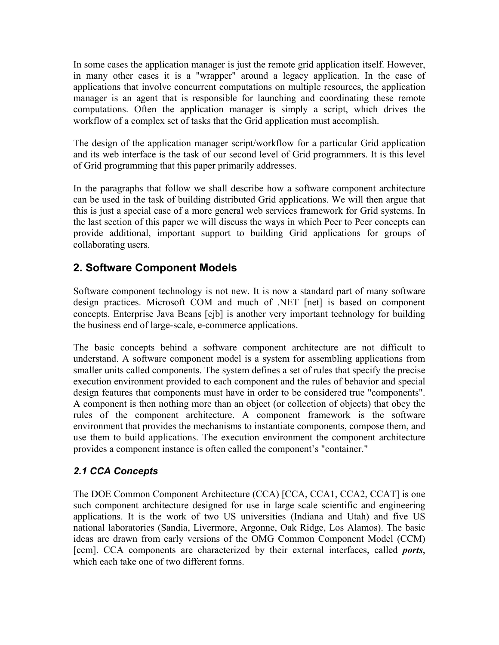In some cases the application manager is just the remote grid application itself. However, in many other cases it is a "wrapper" around a legacy application. In the case of applications that involve concurrent computations on multiple resources, the application manager is an agent that is responsible for launching and coordinating these remote computations. Often the application manager is simply a script, which drives the workflow of a complex set of tasks that the Grid application must accomplish.

The design of the application manager script/workflow for a particular Grid application and its web interface is the task of our second level of Grid programmers. It is this level of Grid programming that this paper primarily addresses.

In the paragraphs that follow we shall describe how a software component architecture can be used in the task of building distributed Grid applications. We will then argue that this is just a special case of a more general web services framework for Grid systems. In the last section of this paper we will discuss the ways in which Peer to Peer concepts can provide additional, important support to building Grid applications for groups of collaborating users.

# **2. Software Component Models**

Software component technology is not new. It is now a standard part of many software design practices. Microsoft COM and much of .NET [net] is based on component concepts. Enterprise Java Beans [ejb] is another very important technology for building the business end of large-scale, e-commerce applications.

The basic concepts behind a software component architecture are not difficult to understand. A software component model is a system for assembling applications from smaller units called components. The system defines a set of rules that specify the precise execution environment provided to each component and the rules of behavior and special design features that components must have in order to be considered true "components". A component is then nothing more than an object (or collection of objects) that obey the rules of the component architecture. A component framework is the software environment that provides the mechanisms to instantiate components, compose them, and use them to build applications. The execution environment the component architecture provides a component instance is often called the component's "container."

## *2.1 CCA Concepts*

The DOE Common Component Architecture (CCA) [CCA, CCA1, CCA2, CCAT] is one such component architecture designed for use in large scale scientific and engineering applications. It is the work of two US universities (Indiana and Utah) and five US national laboratories (Sandia, Livermore, Argonne, Oak Ridge, Los Alamos). The basic ideas are drawn from early versions of the OMG Common Component Model (CCM) [ccm]. CCA components are characterized by their external interfaces, called *ports*, which each take one of two different forms.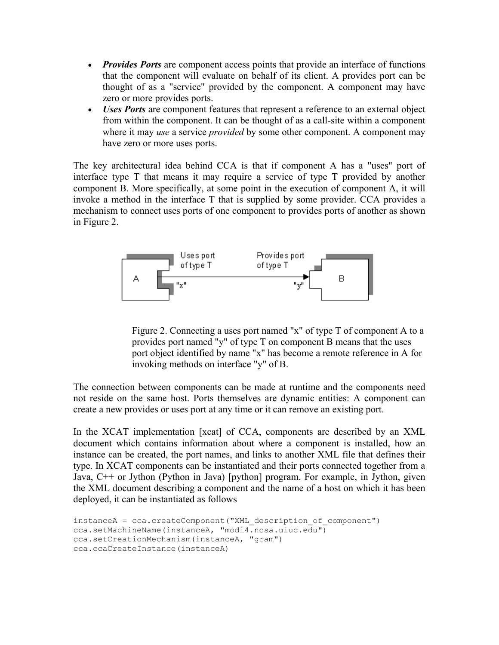- *Provides Ports* are component access points that provide an interface of functions that the component will evaluate on behalf of its client. A provides port can be thought of as a "service" provided by the component. A component may have zero or more provides ports.
- *Uses Ports* are component features that represent a reference to an external object from within the component. It can be thought of as a call-site within a component where it may *use* a service *provided* by some other component. A component may have zero or more uses ports.

The key architectural idea behind CCA is that if component A has a "uses" port of interface type T that means it may require a service of type T provided by another component B. More specifically, at some point in the execution of component A, it will invoke a method in the interface T that is supplied by some provider. CCA provides a mechanism to connect uses ports of one component to provides ports of another as shown in Figure 2.



Figure 2. Connecting a uses port named "x" of type T of component A to a provides port named "y" of type T on component B means that the uses port object identified by name "x" has become a remote reference in A for invoking methods on interface "y" of B.

The connection between components can be made at runtime and the components need not reside on the same host. Ports themselves are dynamic entities: A component can create a new provides or uses port at any time or it can remove an existing port.

In the XCAT implementation [xcat] of CCA, components are described by an XML document which contains information about where a component is installed, how an instance can be created, the port names, and links to another XML file that defines their type. In XCAT components can be instantiated and their ports connected together from a Java, C++ or Jython (Python in Java) [python] program. For example, in Jython, given the XML document describing a component and the name of a host on which it has been deployed, it can be instantiated as follows

```
instanceA = cca.createComponent("XML_description_of_component") 
cca.setMachineName(instanceA, "modi4.ncsa.uiuc.edu") 
cca.setCreationMechanism(instanceA, "gram") 
cca.ccaCreateInstance(instanceA)
```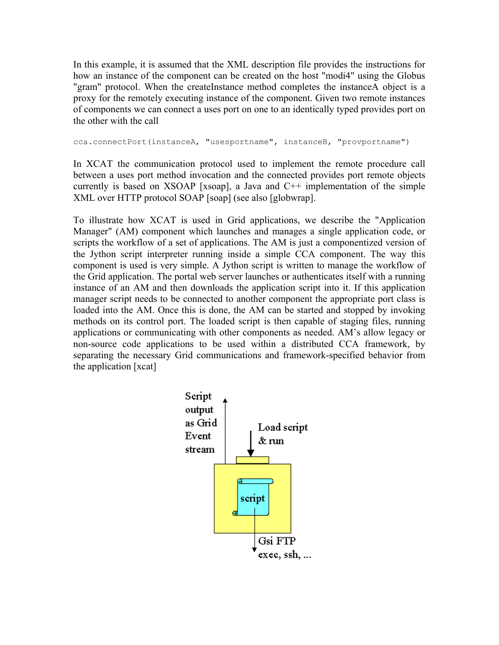In this example, it is assumed that the XML description file provides the instructions for how an instance of the component can be created on the host "modi4" using the Globus "gram" protocol. When the createInstance method completes the instanceA object is a proxy for the remotely executing instance of the component. Given two remote instances of components we can connect a uses port on one to an identically typed provides port on the other with the call

cca.connectPort(instanceA, "usesportname", instanceB, "provportname")

In XCAT the communication protocol used to implement the remote procedure call between a uses port method invocation and the connected provides port remote objects currently is based on XSOAP [xsoap], a Java and  $C++$  implementation of the simple XML over HTTP protocol SOAP [soap] (see also [globwrap].

To illustrate how XCAT is used in Grid applications, we describe the "Application Manager" (AM) component which launches and manages a single application code, or scripts the workflow of a set of applications. The AM is just a componentized version of the Jython script interpreter running inside a simple CCA component. The way this component is used is very simple. A Jython script is written to manage the workflow of the Grid application. The portal web server launches or authenticates itself with a running instance of an AM and then downloads the application script into it. If this application manager script needs to be connected to another component the appropriate port class is loaded into the AM. Once this is done, the AM can be started and stopped by invoking methods on its control port. The loaded script is then capable of staging files, running applications or communicating with other components as needed. AM's allow legacy or non-source code applications to be used within a distributed CCA framework, by separating the necessary Grid communications and framework-specified behavior from the application [xcat]

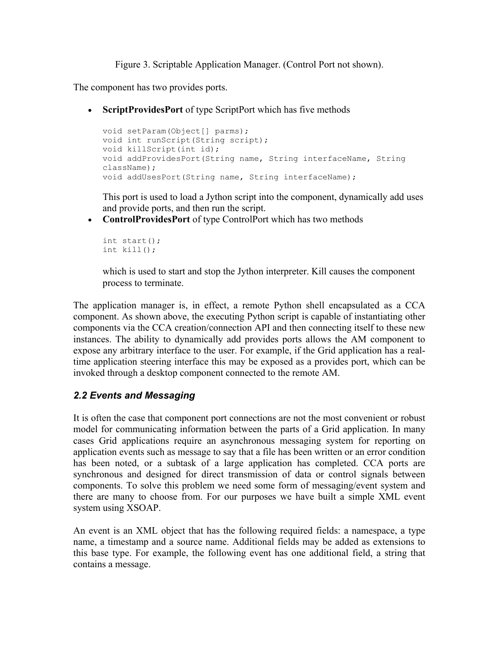Figure 3. Scriptable Application Manager. (Control Port not shown).

The component has two provides ports.

**ScriptProvidesPort** of type ScriptPort which has five methods

```
void setParam(Object[] parms); 
void int runScript(String script); 
void killScript(int id); 
void addProvidesPort(String name, String interfaceName, String 
className); 
void addUsesPort(String name, String interfaceName);
```
This port is used to load a Jython script into the component, dynamically add uses and provide ports, and then run the script.

• **ControlProvidesPort** of type ControlPort which has two methods

```
int start(); 
int kill();
```
which is used to start and stop the Jython interpreter. Kill causes the component process to terminate.

The application manager is, in effect, a remote Python shell encapsulated as a CCA component. As shown above, the executing Python script is capable of instantiating other components via the CCA creation/connection API and then connecting itself to these new instances. The ability to dynamically add provides ports allows the AM component to expose any arbitrary interface to the user. For example, if the Grid application has a realtime application steering interface this may be exposed as a provides port, which can be invoked through a desktop component connected to the remote AM.

## *2.2 Events and Messaging*

It is often the case that component port connections are not the most convenient or robust model for communicating information between the parts of a Grid application. In many cases Grid applications require an asynchronous messaging system for reporting on application events such as message to say that a file has been written or an error condition has been noted, or a subtask of a large application has completed. CCA ports are synchronous and designed for direct transmission of data or control signals between components. To solve this problem we need some form of messaging/event system and there are many to choose from. For our purposes we have built a simple XML event system using XSOAP.

An event is an XML object that has the following required fields: a namespace, a type name, a timestamp and a source name. Additional fields may be added as extensions to this base type. For example, the following event has one additional field, a string that contains a message.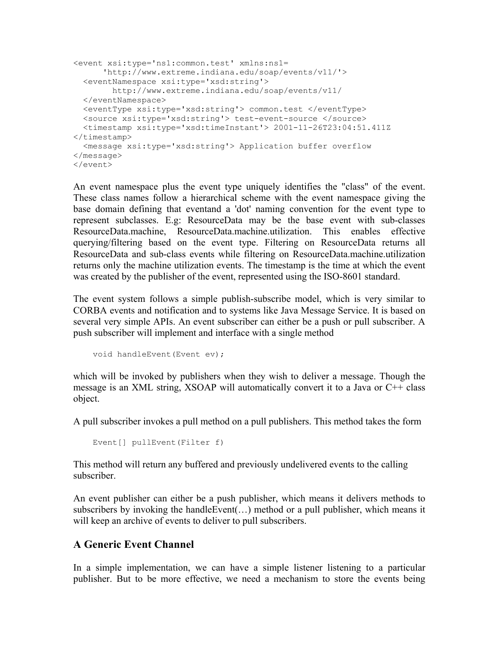```
<event xsi:type='ns1:common.test' xmlns:ns1= 
       'http://www.extreme.indiana.edu/soap/events/v11/'> 
  <eventNamespace xsi:type='xsd:string'> 
         http://www.extreme.indiana.edu/soap/events/v11/ 
  </eventNamespace> 
  <eventType xsi:type='xsd:string'> common.test </eventType> 
  <source xsi:type='xsd:string'> test-event-source </source> 
  <timestamp xsi:type='xsd:timeInstant'> 2001-11-26T23:04:51.411Z 
</timestamp> 
  <message xsi:type='xsd:string'> Application buffer overflow 
</message> 
</event>
```
An event namespace plus the event type uniquely identifies the "class" of the event. These class names follow a hierarchical scheme with the event namespace giving the base domain defining that eventand a 'dot' naming convention for the event type to represent subclasses. E.g: ResourceData may be the base event with sub-classes ResourceData.machine, ResourceData.machine.utilization. This enables effective querying/filtering based on the event type. Filtering on ResourceData returns all ResourceData and sub-class events while filtering on ResourceData.machine.utilization returns only the machine utilization events. The timestamp is the time at which the event was created by the publisher of the event, represented using the ISO-8601 standard.

The event system follows a simple publish-subscribe model, which is very similar to CORBA events and notification and to systems like Java Message Service. It is based on several very simple APIs. An event subscriber can either be a push or pull subscriber. A push subscriber will implement and interface with a single method

void handleEvent (Event ev) ;

which will be invoked by publishers when they wish to deliver a message. Though the message is an XML string, XSOAP will automatically convert it to a Java or C++ class object.

A pull subscriber invokes a pull method on a pull publishers. This method takes the form

```
 Event[] pullEvent(Filter f)
```
This method will return any buffered and previously undelivered events to the calling subscriber.

An event publisher can either be a push publisher, which means it delivers methods to subscribers by invoking the handle Event $(\ldots)$  method or a pull publisher, which means it will keep an archive of events to deliver to pull subscribers.

#### **A Generic Event Channel**

In a simple implementation, we can have a simple listener listening to a particular publisher. But to be more effective, we need a mechanism to store the events being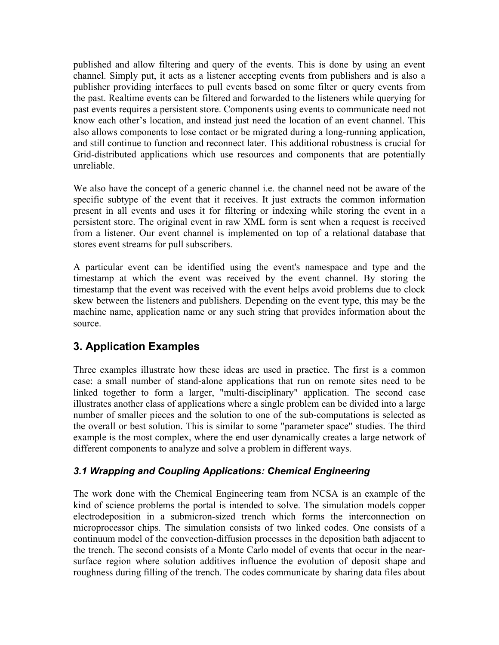published and allow filtering and query of the events. This is done by using an event channel. Simply put, it acts as a listener accepting events from publishers and is also a publisher providing interfaces to pull events based on some filter or query events from the past. Realtime events can be filtered and forwarded to the listeners while querying for past events requires a persistent store. Components using events to communicate need not know each other's location, and instead just need the location of an event channel. This also allows components to lose contact or be migrated during a long-running application, and still continue to function and reconnect later. This additional robustness is crucial for Grid-distributed applications which use resources and components that are potentially unreliable.

We also have the concept of a generic channel i.e. the channel need not be aware of the specific subtype of the event that it receives. It just extracts the common information present in all events and uses it for filtering or indexing while storing the event in a persistent store. The original event in raw XML form is sent when a request is received from a listener. Our event channel is implemented on top of a relational database that stores event streams for pull subscribers.

A particular event can be identified using the event's namespace and type and the timestamp at which the event was received by the event channel. By storing the timestamp that the event was received with the event helps avoid problems due to clock skew between the listeners and publishers. Depending on the event type, this may be the machine name, application name or any such string that provides information about the source.

# **3. Application Examples**

Three examples illustrate how these ideas are used in practice. The first is a common case: a small number of stand-alone applications that run on remote sites need to be linked together to form a larger, "multi-disciplinary" application. The second case illustrates another class of applications where a single problem can be divided into a large number of smaller pieces and the solution to one of the sub-computations is selected as the overall or best solution. This is similar to some "parameter space" studies. The third example is the most complex, where the end user dynamically creates a large network of different components to analyze and solve a problem in different ways.

## *3.1 Wrapping and Coupling Applications: Chemical Engineering*

The work done with the Chemical Engineering team from NCSA is an example of the kind of science problems the portal is intended to solve. The simulation models copper electrodeposition in a submicron-sized trench which forms the interconnection on microprocessor chips. The simulation consists of two linked codes. One consists of a continuum model of the convection-diffusion processes in the deposition bath adjacent to the trench. The second consists of a Monte Carlo model of events that occur in the nearsurface region where solution additives influence the evolution of deposit shape and roughness during filling of the trench. The codes communicate by sharing data files about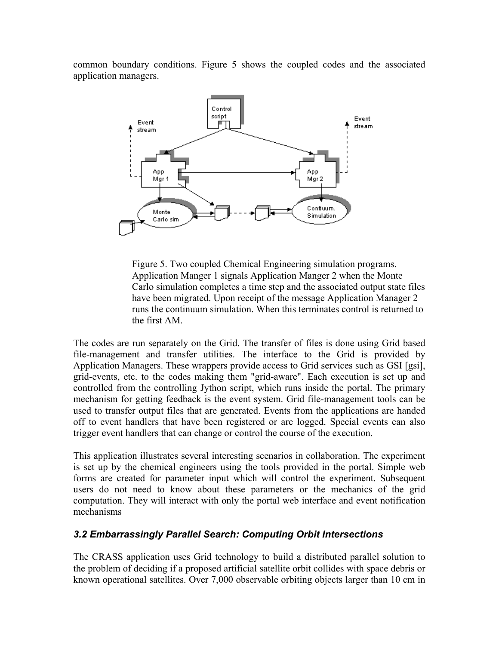common boundary conditions. Figure 5 shows the coupled codes and the associated application managers.



Figure 5. Two coupled Chemical Engineering simulation programs. Application Manger 1 signals Application Manger 2 when the Monte Carlo simulation completes a time step and the associated output state files have been migrated. Upon receipt of the message Application Manager 2 runs the continuum simulation. When this terminates control is returned to the first AM.

The codes are run separately on the Grid. The transfer of files is done using Grid based file-management and transfer utilities. The interface to the Grid is provided by Application Managers. These wrappers provide access to Grid services such as GSI [gsi], grid-events, etc. to the codes making them "grid-aware". Each execution is set up and controlled from the controlling Jython script, which runs inside the portal. The primary mechanism for getting feedback is the event system. Grid file-management tools can be used to transfer output files that are generated. Events from the applications are handed off to event handlers that have been registered or are logged. Special events can also trigger event handlers that can change or control the course of the execution.

This application illustrates several interesting scenarios in collaboration. The experiment is set up by the chemical engineers using the tools provided in the portal. Simple web forms are created for parameter input which will control the experiment. Subsequent users do not need to know about these parameters or the mechanics of the grid computation. They will interact with only the portal web interface and event notification mechanisms

#### *3.2 Embarrassingly Parallel Search: Computing Orbit Intersections*

The CRASS application uses Grid technology to build a distributed parallel solution to the problem of deciding if a proposed artificial satellite orbit collides with space debris or known operational satellites. Over 7,000 observable orbiting objects larger than 10 cm in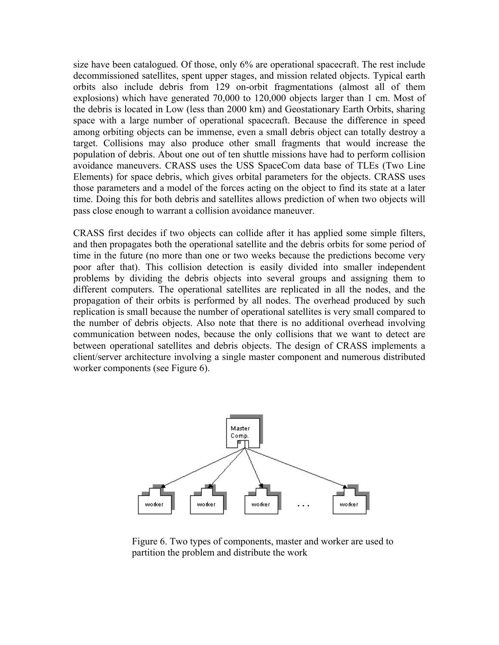size have been catalogued. Of those, only 6% are operational spacecraft. The rest include decommissioned satellites, spent upper stages, and mission related objects. Typical earth orbits also include debris from 129 on-orbit fragmentations (almost all of them explosions) which have generated 70,000 to 120,000 objects larger than 1 cm. Most of the debris is located in Low (less than 2000 km) and Geostationary Earth Orbits, sharing space with a large number of operational spacecraft. Because the difference in speed among orbiting objects can be immense, even a small debris object can totally destroy a target. Collisions may also produce other small fragments that would increase the population of debris. About one out of ten shuttle missions have had to perform collision avoidance maneuvers. CRASS uses the USS SpaceCom data base of TLEs (Two Line Elements) for space debris, which gives orbital parameters for the objects. CRASS uses those parameters and a model of the forces acting on the object to find its state at a later time. Doing this for both debris and satellites allows prediction of when two objects will pass close enough to warrant a collision avoidance maneuver.

CRASS first decides if two objects can collide after it has applied some simple filters, and then propagates both the operational satellite and the debris orbits for some period of time in the future (no more than one or two weeks because the predictions become very poor after that). This collision detection is easily divided into smaller independent problems by dividing the debris objects into several groups and assigning them to different computers. The operational satellites are replicated in all the nodes, and the propagation of their orbits is performed by all nodes. The overhead produced by such replication is small because the number of operational satellites is very small compared to the number of debris objects. Also note that there is no additional overhead involving communication between nodes, because the only collisions that we want to detect are between operational satellites and debris objects. The design of CRASS implements a client/server architecture involving a single master component and numerous distributed worker components (see Figure 6).



Figure 6. Two types of components, master and worker are used to partition the problem and distribute the work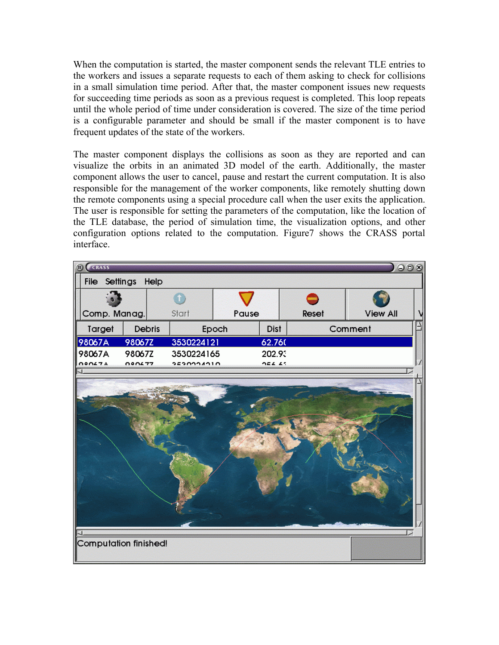When the computation is started, the master component sends the relevant TLE entries to the workers and issues a separate requests to each of them asking to check for collisions in a small simulation time period. After that, the master component issues new requests for succeeding time periods as soon as a previous request is completed. This loop repeats until the whole period of time under consideration is covered. The size of the time period is a configurable parameter and should be small if the master component is to have frequent updates of the state of the workers.

The master component displays the collisions as soon as they are reported and can visualize the orbits in an animated 3D model of the earth. Additionally, the master component allows the user to cancel, pause and restart the current computation. It is also responsible for the management of the worker components, like remotely shutting down the remote components using a special procedure call when the user exits the application. The user is responsible for setting the parameters of the computation, like the location of the TLE database, the period of simulation time, the visualization options, and other configuration options related to the computation. Figure7 shows the CRASS portal interface.

| CRASS<br>$\bigcirc$ $\bigcirc$ $\bigcirc$<br>0 |               |                                                                                                                                                                                                                                                                                                                                                                                                                                                                                                                         |                      |        |         |                 |  |
|------------------------------------------------|---------------|-------------------------------------------------------------------------------------------------------------------------------------------------------------------------------------------------------------------------------------------------------------------------------------------------------------------------------------------------------------------------------------------------------------------------------------------------------------------------------------------------------------------------|----------------------|--------|---------|-----------------|--|
| Help<br>File Settings                          |               |                                                                                                                                                                                                                                                                                                                                                                                                                                                                                                                         |                      |        |         |                 |  |
|                                                |               |                                                                                                                                                                                                                                                                                                                                                                                                                                                                                                                         |                      |        | 争       |                 |  |
| Comp. Manag.                                   |               | Start                                                                                                                                                                                                                                                                                                                                                                                                                                                                                                                   | Pause                |        | Reset   | <b>View All</b> |  |
| Target                                         | <b>Debris</b> |                                                                                                                                                                                                                                                                                                                                                                                                                                                                                                                         | Epoch<br><b>Dist</b> |        | Comment |                 |  |
| 98067A<br>98067Z<br>3530224121                 |               |                                                                                                                                                                                                                                                                                                                                                                                                                                                                                                                         |                      | 62.760 |         |                 |  |
| 98067A                                         | 98067Z        | 3530224165                                                                                                                                                                                                                                                                                                                                                                                                                                                                                                              |                      | 202.93 |         |                 |  |
| 0.9047A                                        | <b>080477</b> | $\begin{array}{c} \n \text{if} \quad \text{if} \quad \text{if} \quad \text{if} \quad \text{if} \quad \text{if} \quad \text{if} \quad \text{if} \quad \text{if} \quad \text{if} \quad \text{if} \quad \text{if} \quad \text{if} \quad \text{if} \quad \text{if} \quad \text{if} \quad \text{if} \quad \text{if} \quad \text{if} \quad \text{if} \quad \text{if} \quad \text{if} \quad \text{if} \quad \text{if} \quad \text{if} \quad \text{if} \quad \text{if} \quad \text{if} \quad \text{if} \quad \text{if} \quad \$ |                      | 256.43 |         |                 |  |
|                                                |               |                                                                                                                                                                                                                                                                                                                                                                                                                                                                                                                         |                      |        |         |                 |  |
|                                                |               |                                                                                                                                                                                                                                                                                                                                                                                                                                                                                                                         |                      |        |         |                 |  |
|                                                |               |                                                                                                                                                                                                                                                                                                                                                                                                                                                                                                                         |                      |        |         |                 |  |
|                                                |               |                                                                                                                                                                                                                                                                                                                                                                                                                                                                                                                         |                      |        |         |                 |  |
|                                                |               |                                                                                                                                                                                                                                                                                                                                                                                                                                                                                                                         |                      |        |         |                 |  |
|                                                |               |                                                                                                                                                                                                                                                                                                                                                                                                                                                                                                                         |                      |        |         |                 |  |
|                                                |               |                                                                                                                                                                                                                                                                                                                                                                                                                                                                                                                         |                      |        |         |                 |  |
|                                                |               |                                                                                                                                                                                                                                                                                                                                                                                                                                                                                                                         |                      |        |         |                 |  |
|                                                |               |                                                                                                                                                                                                                                                                                                                                                                                                                                                                                                                         |                      |        |         |                 |  |
|                                                |               |                                                                                                                                                                                                                                                                                                                                                                                                                                                                                                                         |                      |        |         |                 |  |
|                                                |               |                                                                                                                                                                                                                                                                                                                                                                                                                                                                                                                         |                      |        |         |                 |  |
|                                                |               |                                                                                                                                                                                                                                                                                                                                                                                                                                                                                                                         |                      |        |         |                 |  |
|                                                |               |                                                                                                                                                                                                                                                                                                                                                                                                                                                                                                                         |                      |        |         |                 |  |
| Computation finished!                          |               |                                                                                                                                                                                                                                                                                                                                                                                                                                                                                                                         |                      |        |         |                 |  |
|                                                |               |                                                                                                                                                                                                                                                                                                                                                                                                                                                                                                                         |                      |        |         |                 |  |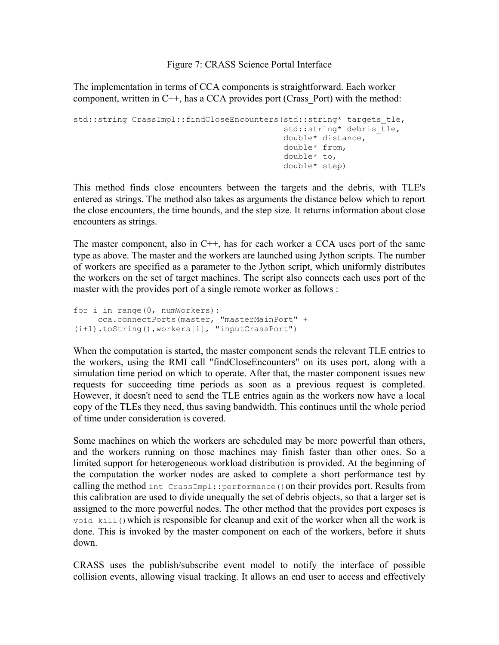Figure 7: CRASS Science Portal Interface

The implementation in terms of CCA components is straightforward. Each worker component, written in  $C^{++}$ , has a CCA provides port (Crass Port) with the method:

```
std::string CrassImpl::findCloseEncounters(std::string* targets tle,
                                              std::string* debris tle,
                                               double* distance, 
                                               double* from, 
                                               double* to, 
                                               double* step)
```
This method finds close encounters between the targets and the debris, with TLE's entered as strings. The method also takes as arguments the distance below which to report the close encounters, the time bounds, and the step size. It returns information about close encounters as strings.

The master component, also in C++, has for each worker a CCA uses port of the same type as above. The master and the workers are launched using Jython scripts. The number of workers are specified as a parameter to the Jython script, which uniformly distributes the workers on the set of target machines. The script also connects each uses port of the master with the provides port of a single remote worker as follows :

```
for i in range(0, numWorkers): 
      cca.connectPorts(master, "masterMainPort" + 
(i+1).toString(),workers[i], "inputCrassPort")
```
When the computation is started, the master component sends the relevant TLE entries to the workers, using the RMI call "findCloseEncounters" on its uses port, along with a simulation time period on which to operate. After that, the master component issues new requests for succeeding time periods as soon as a previous request is completed. However, it doesn't need to send the TLE entries again as the workers now have a local copy of the TLEs they need, thus saving bandwidth. This continues until the whole period of time under consideration is covered.

Some machines on which the workers are scheduled may be more powerful than others, and the workers running on those machines may finish faster than other ones. So a limited support for heterogeneous workload distribution is provided. At the beginning of the computation the worker nodes are asked to complete a short performance test by calling the method int  $CrasImpl::performance()$  on their provides port. Results from this calibration are used to divide unequally the set of debris objects, so that a larger set is assigned to the more powerful nodes. The other method that the provides port exposes is void kill()which is responsible for cleanup and exit of the worker when all the work is done. This is invoked by the master component on each of the workers, before it shuts down.

CRASS uses the publish/subscribe event model to notify the interface of possible collision events, allowing visual tracking. It allows an end user to access and effectively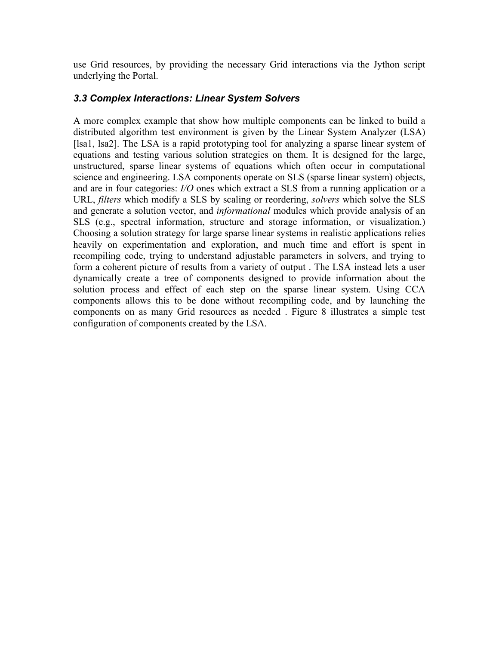use Grid resources, by providing the necessary Grid interactions via the Jython script underlying the Portal.

#### *3.3 Complex Interactions: Linear System Solvers*

A more complex example that show how multiple components can be linked to build a distributed algorithm test environment is given by the Linear System Analyzer (LSA) [lsa1, lsa2]. The LSA is a rapid prototyping tool for analyzing a sparse linear system of equations and testing various solution strategies on them. It is designed for the large, unstructured, sparse linear systems of equations which often occur in computational science and engineering. LSA components operate on SLS (sparse linear system) objects, and are in four categories: *I/O* ones which extract a SLS from a running application or a URL, *filters* which modify a SLS by scaling or reordering, *solvers* which solve the SLS and generate a solution vector, and *informational* modules which provide analysis of an SLS (e.g., spectral information, structure and storage information, or visualization.) Choosing a solution strategy for large sparse linear systems in realistic applications relies heavily on experimentation and exploration, and much time and effort is spent in recompiling code, trying to understand adjustable parameters in solvers, and trying to form a coherent picture of results from a variety of output . The LSA instead lets a user dynamically create a tree of components designed to provide information about the solution process and effect of each step on the sparse linear system. Using CCA components allows this to be done without recompiling code, and by launching the components on as many Grid resources as needed . Figure 8 illustrates a simple test configuration of components created by the LSA.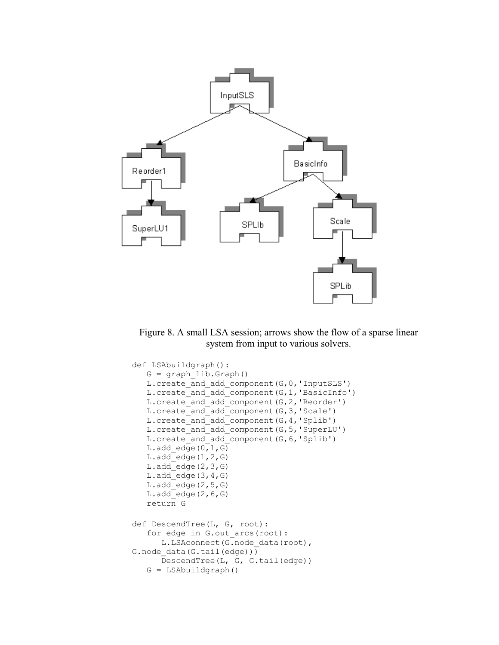

Figure 8. A small LSA session; arrows show the flow of a sparse linear system from input to various solvers.

```
def LSAbuildgraph(): 
   G = graph\_lib.Graph() L.create_and_add_component(G,0,'InputSLS') 
   L.create and add component(G, 1, 'BasicInfo')
   L.create and add component(G, 2, 'Reorder')
    L.create_and_add_component(G,3,'Scale') 
    L.create_and_add_component(G,4,'Splib') 
    L.create_and_add_component(G,5,'SuperLU') 
    L.create_and_add_component(G,6,'Splib') 
   L.add edge(0, 1, G)
   L.add edge(1,2,G)L.add edge(2,3,G)L.add edge(3,4,G)L.add edge(2,5,G)L.add edge(2, 6, G) return G 
def DescendTree(L, G, root): 
    for edge in G.out_arcs(root): 
      L.LSAconnect(G.node data(root),
G.node data(G.tail(edge)))
       DescendTree(L, G, G.tail(edge)) 
   G = LSAbuildgraph()
```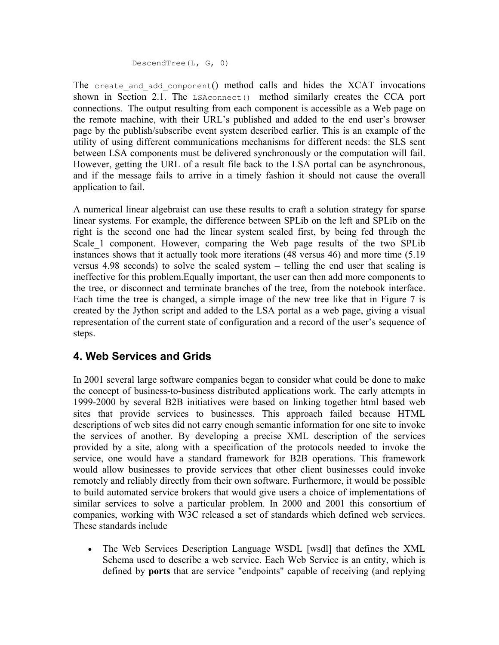The create and add component() method calls and hides the XCAT invocations shown in Section 2.1. The LSAconnect() method similarly creates the CCA port connections. The output resulting from each component is accessible as a Web page on the remote machine, with their URL's published and added to the end user's browser page by the publish/subscribe event system described earlier. This is an example of the utility of using different communications mechanisms for different needs: the SLS sent between LSA components must be delivered synchronously or the computation will fail. However, getting the URL of a result file back to the LSA portal can be asynchronous, and if the message fails to arrive in a timely fashion it should not cause the overall application to fail.

A numerical linear algebraist can use these results to craft a solution strategy for sparse linear systems. For example, the difference between SPLib on the left and SPLib on the right is the second one had the linear system scaled first, by being fed through the Scale 1 component. However, comparing the Web page results of the two SPLib instances shows that it actually took more iterations (48 versus 46) and more time (5.19 versus 4.98 seconds) to solve the scaled system – telling the end user that scaling is ineffective for this problem.Equally important, the user can then add more components to the tree, or disconnect and terminate branches of the tree, from the notebook interface. Each time the tree is changed, a simple image of the new tree like that in Figure 7 is created by the Jython script and added to the LSA portal as a web page, giving a visual representation of the current state of configuration and a record of the user's sequence of steps.

# **4. Web Services and Grids**

In 2001 several large software companies began to consider what could be done to make the concept of business-to-business distributed applications work. The early attempts in 1999-2000 by several B2B initiatives were based on linking together html based web sites that provide services to businesses. This approach failed because HTML descriptions of web sites did not carry enough semantic information for one site to invoke the services of another. By developing a precise XML description of the services provided by a site, along with a specification of the protocols needed to invoke the service, one would have a standard framework for B2B operations. This framework would allow businesses to provide services that other client businesses could invoke remotely and reliably directly from their own software. Furthermore, it would be possible to build automated service brokers that would give users a choice of implementations of similar services to solve a particular problem. In 2000 and 2001 this consortium of companies, working with W3C released a set of standards which defined web services. These standards include

• The Web Services Description Language WSDL [wsdl] that defines the XML Schema used to describe a web service. Each Web Service is an entity, which is defined by **ports** that are service "endpoints" capable of receiving (and replying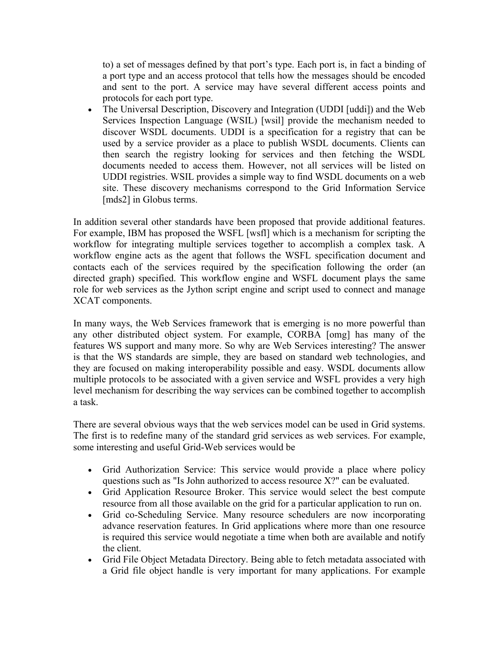to) a set of messages defined by that port's type. Each port is, in fact a binding of a port type and an access protocol that tells how the messages should be encoded and sent to the port. A service may have several different access points and protocols for each port type.

• The Universal Description, Discovery and Integration (UDDI [uddi]) and the Web Services Inspection Language (WSIL) [wsil] provide the mechanism needed to discover WSDL documents. UDDI is a specification for a registry that can be used by a service provider as a place to publish WSDL documents. Clients can then search the registry looking for services and then fetching the WSDL documents needed to access them. However, not all services will be listed on UDDI registries. WSIL provides a simple way to find WSDL documents on a web site. These discovery mechanisms correspond to the Grid Information Service [mds2] in Globus terms.

In addition several other standards have been proposed that provide additional features. For example, IBM has proposed the WSFL [wsfl] which is a mechanism for scripting the workflow for integrating multiple services together to accomplish a complex task. A workflow engine acts as the agent that follows the WSFL specification document and contacts each of the services required by the specification following the order (an directed graph) specified. This workflow engine and WSFL document plays the same role for web services as the Jython script engine and script used to connect and manage XCAT components.

In many ways, the Web Services framework that is emerging is no more powerful than any other distributed object system. For example, CORBA [omg] has many of the features WS support and many more. So why are Web Services interesting? The answer is that the WS standards are simple, they are based on standard web technologies, and they are focused on making interoperability possible and easy. WSDL documents allow multiple protocols to be associated with a given service and WSFL provides a very high level mechanism for describing the way services can be combined together to accomplish a task.

There are several obvious ways that the web services model can be used in Grid systems. The first is to redefine many of the standard grid services as web services. For example, some interesting and useful Grid-Web services would be

- Grid Authorization Service: This service would provide a place where policy questions such as "Is John authorized to access resource X?" can be evaluated.
- Grid Application Resource Broker. This service would select the best compute resource from all those available on the grid for a particular application to run on.
- Grid co-Scheduling Service. Many resource schedulers are now incorporating advance reservation features. In Grid applications where more than one resource is required this service would negotiate a time when both are available and notify the client.
- Grid File Object Metadata Directory. Being able to fetch metadata associated with a Grid file object handle is very important for many applications. For example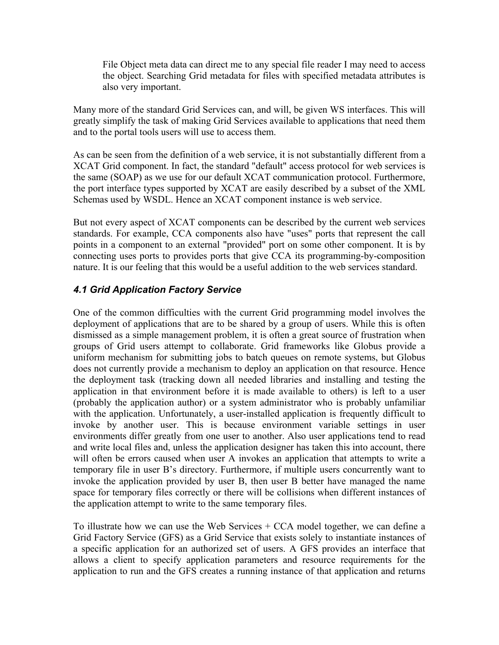File Object meta data can direct me to any special file reader I may need to access the object. Searching Grid metadata for files with specified metadata attributes is also very important.

Many more of the standard Grid Services can, and will, be given WS interfaces. This will greatly simplify the task of making Grid Services available to applications that need them and to the portal tools users will use to access them.

As can be seen from the definition of a web service, it is not substantially different from a XCAT Grid component. In fact, the standard "default" access protocol for web services is the same (SOAP) as we use for our default XCAT communication protocol. Furthermore, the port interface types supported by XCAT are easily described by a subset of the XML Schemas used by WSDL. Hence an XCAT component instance is web service.

But not every aspect of XCAT components can be described by the current web services standards. For example, CCA components also have "uses" ports that represent the call points in a component to an external "provided" port on some other component. It is by connecting uses ports to provides ports that give CCA its programming-by-composition nature. It is our feeling that this would be a useful addition to the web services standard.

## *4.1 Grid Application Factory Service*

One of the common difficulties with the current Grid programming model involves the deployment of applications that are to be shared by a group of users. While this is often dismissed as a simple management problem, it is often a great source of frustration when groups of Grid users attempt to collaborate. Grid frameworks like Globus provide a uniform mechanism for submitting jobs to batch queues on remote systems, but Globus does not currently provide a mechanism to deploy an application on that resource. Hence the deployment task (tracking down all needed libraries and installing and testing the application in that environment before it is made available to others) is left to a user (probably the application author) or a system administrator who is probably unfamiliar with the application. Unfortunately, a user-installed application is frequently difficult to invoke by another user. This is because environment variable settings in user environments differ greatly from one user to another. Also user applications tend to read and write local files and, unless the application designer has taken this into account, there will often be errors caused when user A invokes an application that attempts to write a temporary file in user B's directory. Furthermore, if multiple users concurrently want to invoke the application provided by user B, then user B better have managed the name space for temporary files correctly or there will be collisions when different instances of the application attempt to write to the same temporary files.

To illustrate how we can use the Web Services + CCA model together, we can define a Grid Factory Service (GFS) as a Grid Service that exists solely to instantiate instances of a specific application for an authorized set of users. A GFS provides an interface that allows a client to specify application parameters and resource requirements for the application to run and the GFS creates a running instance of that application and returns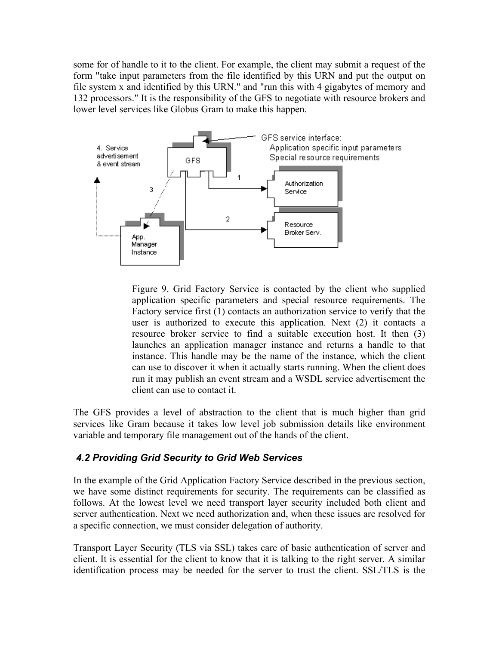some for of handle to it to the client. For example, the client may submit a request of the form "take input parameters from the file identified by this URN and put the output on file system x and identified by this URN." and "run this with 4 gigabytes of memory and 132 processors." It is the responsibility of the GFS to negotiate with resource brokers and lower level services like Globus Gram to make this happen.



Figure 9. Grid Factory Service is contacted by the client who supplied application specific parameters and special resource requirements. The Factory service first (1) contacts an authorization service to verify that the user is authorized to execute this application. Next (2) it contacts a resource broker service to find a suitable execution host. It then (3) launches an application manager instance and returns a handle to that instance. This handle may be the name of the instance, which the client can use to discover it when it actually starts running. When the client does run it may publish an event stream and a WSDL service advertisement the client can use to contact it.

The GFS provides a level of abstraction to the client that is much higher than grid services like Gram because it takes low level job submission details like environment variable and temporary file management out of the hands of the client.

#### *4.2 Providing Grid Security to Grid Web Services*

In the example of the Grid Application Factory Service described in the previous section, we have some distinct requirements for security. The requirements can be classified as follows. At the lowest level we need transport layer security included both client and server authentication. Next we need authorization and, when these issues are resolved for a specific connection, we must consider delegation of authority.

Transport Layer Security (TLS via SSL) takes care of basic authentication of server and client. It is essential for the client to know that it is talking to the right server. A similar identification process may be needed for the server to trust the client. SSL/TLS is the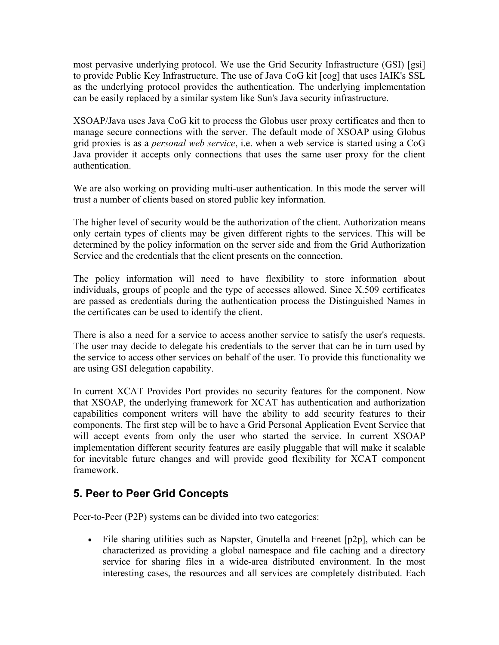most pervasive underlying protocol. We use the Grid Security Infrastructure (GSI) [gsi] to provide Public Key Infrastructure. The use of Java CoG kit [cog] that uses IAIK's SSL as the underlying protocol provides the authentication. The underlying implementation can be easily replaced by a similar system like Sun's Java security infrastructure.

XSOAP/Java uses Java CoG kit to process the Globus user proxy certificates and then to manage secure connections with the server. The default mode of XSOAP using Globus grid proxies is as a *personal web service*, i.e. when a web service is started using a CoG Java provider it accepts only connections that uses the same user proxy for the client authentication.

We are also working on providing multi-user authentication. In this mode the server will trust a number of clients based on stored public key information.

The higher level of security would be the authorization of the client. Authorization means only certain types of clients may be given different rights to the services. This will be determined by the policy information on the server side and from the Grid Authorization Service and the credentials that the client presents on the connection.

The policy information will need to have flexibility to store information about individuals, groups of people and the type of accesses allowed. Since X.509 certificates are passed as credentials during the authentication process the Distinguished Names in the certificates can be used to identify the client.

There is also a need for a service to access another service to satisfy the user's requests. The user may decide to delegate his credentials to the server that can be in turn used by the service to access other services on behalf of the user. To provide this functionality we are using GSI delegation capability.

In current XCAT Provides Port provides no security features for the component. Now that XSOAP, the underlying framework for XCAT has authentication and authorization capabilities component writers will have the ability to add security features to their components. The first step will be to have a Grid Personal Application Event Service that will accept events from only the user who started the service. In current XSOAP implementation different security features are easily pluggable that will make it scalable for inevitable future changes and will provide good flexibility for XCAT component framework.

# **5. Peer to Peer Grid Concepts**

Peer-to-Peer (P2P) systems can be divided into two categories:

• File sharing utilities such as Napster, Gnutella and Freenet [p2p], which can be characterized as providing a global namespace and file caching and a directory service for sharing files in a wide-area distributed environment. In the most interesting cases, the resources and all services are completely distributed. Each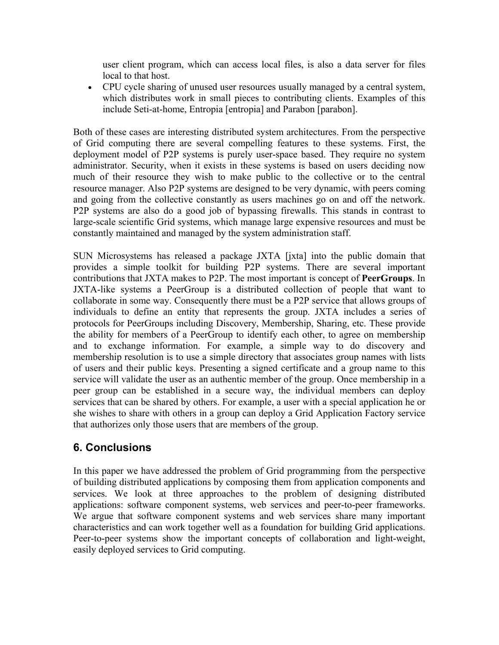user client program, which can access local files, is also a data server for files local to that host.

• CPU cycle sharing of unused user resources usually managed by a central system, which distributes work in small pieces to contributing clients. Examples of this include Seti-at-home, Entropia [entropia] and Parabon [parabon].

Both of these cases are interesting distributed system architectures. From the perspective of Grid computing there are several compelling features to these systems. First, the deployment model of P2P systems is purely user-space based. They require no system administrator. Security, when it exists in these systems is based on users deciding now much of their resource they wish to make public to the collective or to the central resource manager. Also P2P systems are designed to be very dynamic, with peers coming and going from the collective constantly as users machines go on and off the network. P2P systems are also do a good job of bypassing firewalls. This stands in contrast to large-scale scientific Grid systems, which manage large expensive resources and must be constantly maintained and managed by the system administration staff.

SUN Microsystems has released a package JXTA [jxta] into the public domain that provides a simple toolkit for building P2P systems. There are several important contributions that JXTA makes to P2P. The most important is concept of **PeerGroups**. In JXTA-like systems a PeerGroup is a distributed collection of people that want to collaborate in some way. Consequently there must be a P2P service that allows groups of individuals to define an entity that represents the group. JXTA includes a series of protocols for PeerGroups including Discovery, Membership, Sharing, etc. These provide the ability for members of a PeerGroup to identify each other, to agree on membership and to exchange information. For example, a simple way to do discovery and membership resolution is to use a simple directory that associates group names with lists of users and their public keys. Presenting a signed certificate and a group name to this service will validate the user as an authentic member of the group. Once membership in a peer group can be established in a secure way, the individual members can deploy services that can be shared by others. For example, a user with a special application he or she wishes to share with others in a group can deploy a Grid Application Factory service that authorizes only those users that are members of the group.

# **6. Conclusions**

In this paper we have addressed the problem of Grid programming from the perspective of building distributed applications by composing them from application components and services. We look at three approaches to the problem of designing distributed applications: software component systems, web services and peer-to-peer frameworks. We argue that software component systems and web services share many important characteristics and can work together well as a foundation for building Grid applications. Peer-to-peer systems show the important concepts of collaboration and light-weight, easily deployed services to Grid computing.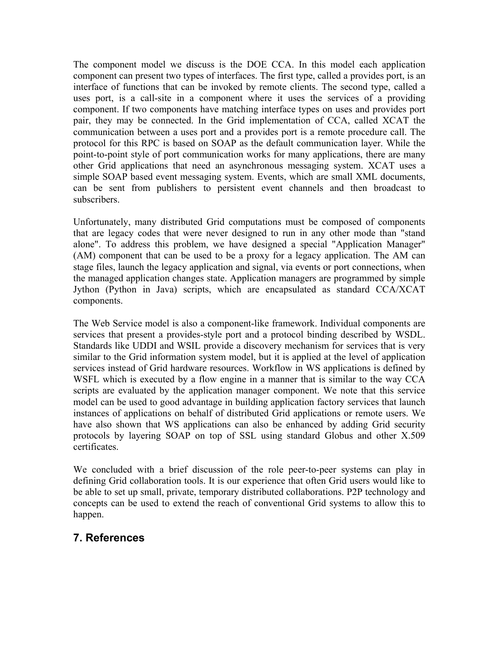The component model we discuss is the DOE CCA. In this model each application component can present two types of interfaces. The first type, called a provides port, is an interface of functions that can be invoked by remote clients. The second type, called a uses port, is a call-site in a component where it uses the services of a providing component. If two components have matching interface types on uses and provides port pair, they may be connected. In the Grid implementation of CCA, called XCAT the communication between a uses port and a provides port is a remote procedure call. The protocol for this RPC is based on SOAP as the default communication layer. While the point-to-point style of port communication works for many applications, there are many other Grid applications that need an asynchronous messaging system. XCAT uses a simple SOAP based event messaging system. Events, which are small XML documents, can be sent from publishers to persistent event channels and then broadcast to subscribers.

Unfortunately, many distributed Grid computations must be composed of components that are legacy codes that were never designed to run in any other mode than "stand alone". To address this problem, we have designed a special "Application Manager" (AM) component that can be used to be a proxy for a legacy application. The AM can stage files, launch the legacy application and signal, via events or port connections, when the managed application changes state. Application managers are programmed by simple Jython (Python in Java) scripts, which are encapsulated as standard CCA/XCAT components.

The Web Service model is also a component-like framework. Individual components are services that present a provides-style port and a protocol binding described by WSDL. Standards like UDDI and WSIL provide a discovery mechanism for services that is very similar to the Grid information system model, but it is applied at the level of application services instead of Grid hardware resources. Workflow in WS applications is defined by WSFL which is executed by a flow engine in a manner that is similar to the way CCA scripts are evaluated by the application manager component. We note that this service model can be used to good advantage in building application factory services that launch instances of applications on behalf of distributed Grid applications or remote users. We have also shown that WS applications can also be enhanced by adding Grid security protocols by layering SOAP on top of SSL using standard Globus and other X.509 certificates.

We concluded with a brief discussion of the role peer-to-peer systems can play in defining Grid collaboration tools. It is our experience that often Grid users would like to be able to set up small, private, temporary distributed collaborations. P2P technology and concepts can be used to extend the reach of conventional Grid systems to allow this to happen.

## **7. References**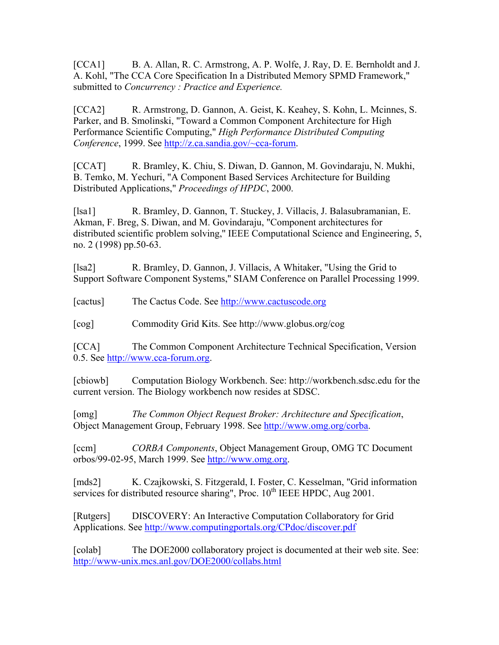[CCA1] B. A. Allan, R. C. Armstrong, A. P. Wolfe, J. Ray, D. E. Bernholdt and J. A. Kohl, "The CCA Core Specification In a Distributed Memory SPMD Framework," submitted to *Concurrency : Practice and Experience.* 

[CCA2] R. Armstrong, D. Gannon, A. Geist, K. Keahey, S. Kohn, L. Mcinnes, S. Parker, and B. Smolinski, "Toward a Common Component Architecture for High Performance Scientific Computing," *High Performance Distributed Computing Conference*, 1999. See <http://z.ca.sandia.gov/~cca-forum>.

[CCAT] R. Bramley, K. Chiu, S. Diwan, D. Gannon, M. Govindaraju, N. Mukhi, B. Temko, M. Yechuri, "A Component Based Services Architecture for Building Distributed Applications," *Proceedings of HPDC*, 2000.

[lsa1] R. Bramley, D. Gannon, T. Stuckey, J. Villacis, J. Balasubramanian, E. Akman, F. Breg, S. Diwan, and M. Govindaraju, "Component architectures for distributed scientific problem solving," IEEE Computational Science and Engineering, 5, no. 2 (1998) pp.50-63.

[lsa2] R. Bramley, D. Gannon, J. Villacis, A Whitaker, "Using the Grid to Support Software Component Systems,'' SIAM Conference on Parallel Processing 1999.

[cactus] The Cactus Code. See [http://www.cactuscode.org](http://www.cactuscode.org/)

[cog] Commodity Grid Kits. See http://www.globus.org/cog

[CCA] The Common Component Architecture Technical Specification, Version 0.5. See [http://www.cca-forum.org](http://www.cca-forum.org/).

[cbiowb] Computation Biology Workbench. See: http://workbench.sdsc.edu for the current version. The Biology workbench now resides at SDSC.

[omg] *The Common Object Request Broker: Architecture and Specification*, Object Management Group, February 1998. See [http://www.omg.org/corba.](http://www.omg.org/corba)

[ccm] *CORBA Components*, Object Management Group, OMG TC Document orbos/99-02-95, March 1999. See [http://www.omg.org.](http://www.omg.org/)

[mds2] K. Czajkowski, S. Fitzgerald, I. Foster, C. Kesselman, "Grid information services for distributed resource sharing", Proc.  $10^{th}$  IEEE HPDC, Aug 2001.

[Rutgers] DISCOVERY: An Interactive Computation Collaboratory for Grid Applications. See <http://www.computingportals.org/CPdoc/discover.pdf>

[colab] The DOE2000 collaboratory project is documented at their web site. See: <http://www-unix.mcs.anl.gov/DOE2000/collabs.html>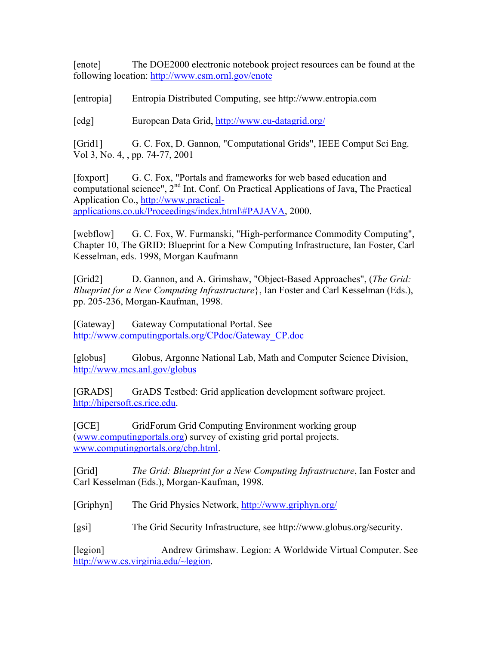[enote] The DOE2000 electronic notebook project resources can be found at the following location: <http://www.csm.ornl.gov/enote>

[entropia] Entropia Distributed Computing, see http://www.entropia.com

[edg] European Data Grid, <http://www.eu-datagrid.org/>

[Grid1] G. C. Fox, D. Gannon, "Computational Grids", IEEE Comput Sci Eng. Vol 3, No. 4, , pp. 74-77, 2001

[foxport] G. C. Fox, "Portals and frameworks for web based education and computational science", 2<sup>nd</sup> Int. Conf. On Practical Applications of Java, The Practical Application Co., [http://www.practical](http://www.practical-applications.co.uk/Proceedings/index.html/)[applications.co.uk/Proceedings/index.html\#PAJAVA,](http://www.practical-applications.co.uk/Proceedings/index.html/) 2000.

[webflow] G. C. Fox, W. Furmanski, "High-performance Commodity Computing", Chapter 10, The GRID: Blueprint for a New Computing Infrastructure, Ian Foster, Carl Kesselman, eds. 1998, Morgan Kaufmann

[Grid2] D. Gannon, and A. Grimshaw, "Object-Based Approaches", (*The Grid: Blueprint for a New Computing Infrastructure*}, Ian Foster and Carl Kesselman (Eds.), pp. 205-236, Morgan-Kaufman, 1998.

[Gateway] Gateway Computational Portal. See [http://www.computingportals.org/CPdoc/Gateway\\_CP.doc](http://www.computingportals.org/CPdoc/Gateway_CP.doc)

[globus] Globus, Argonne National Lab, Math and Computer Science Division, <http://www.mcs.anl.gov/globus>

[GRADS] GrADS Testbed: Grid application development software project. [http://hipersoft.cs.rice.edu.](http://hipersoft.cs.rice.edu/)

[GCE] GridForum Grid Computing Environment working group ([www.computingportals.org\)](http://www.computingportals.org/) survey of existing grid portal projects. [www.computingportals.org/cbp.html.](http://www.computingportals.org/cbp.html)

[Grid] *The Grid: Blueprint for a New Computing Infrastructure*, Ian Foster and Carl Kesselman (Eds.), Morgan-Kaufman, 1998.

[Griphyn] The Grid Physics Network,<http://www.griphyn.org/>

[gsi] The Grid Security Infrastructure, see http://www.globus.org/security.

[legion] Andrew Grimshaw. Legion: A Worldwide Virtual Computer. See <http://www.cs.virginia.edu/~legion>.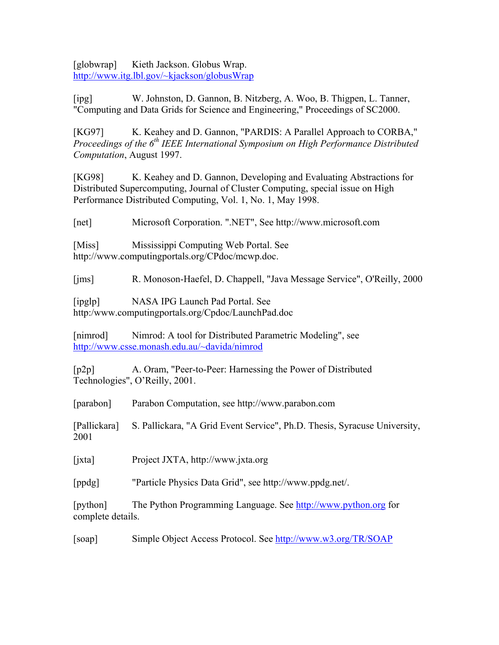[globwrap] Kieth Jackson. Globus Wrap. <http://www.itg.lbl.gov/~kjackson/globusWrap>

[ipg] W. Johnston, D. Gannon, B. Nitzberg, A. Woo, B. Thigpen, L. Tanner, "Computing and Data Grids for Science and Engineering," Proceedings of SC2000.

[KG97] K. Keahey and D. Gannon, "PARDIS: A Parallel Approach to CORBA," *Proceedings of the 6th IEEE International Symposium on High Performance Distributed Computation*, August 1997.

[KG98] K. Keahey and D. Gannon, Developing and Evaluating Abstractions for Distributed Supercomputing, Journal of Cluster Computing, special issue on High Performance Distributed Computing, Vol. 1, No. 1, May 1998.

[net] Microsoft Corporation. ".NET", See http://www.microsoft.com

[Miss] Mississippi Computing Web Portal. See http://www.computingportals.org/CPdoc/mcwp.doc.

[jms] R. Monoson-Haefel, D. Chappell, "Java Message Service", O'Reilly, 2000

[ipglp] NASA IPG Launch Pad Portal. See http:/www.computingportals.org/Cpdoc/LaunchPad.doc

[nimrod] Nimrod: A tool for Distributed Parametric Modeling", see <http://www.csse.monash.edu.au/~davida/nimrod>

[p2p] A. Oram, "Peer-to-Peer: Harnessing the Power of Distributed Technologies", O'Reilly, 2001.

[parabon] Parabon Computation, see http://www.parabon.com

[Pallickara] S. Pallickara, "A Grid Event Service", Ph.D. Thesis, Syracuse University, 2001

[jxta] Project JXTA, http://www.jxta.org

[ppdg] "Particle Physics Data Grid", see http://www.ppdg.net/.

[python] The Python Programming Language. See [http://www.python.org](http://www.python.org/) for complete details.

[soap] Simple Object Access Protocol. See<http://www.w3.org/TR/SOAP>